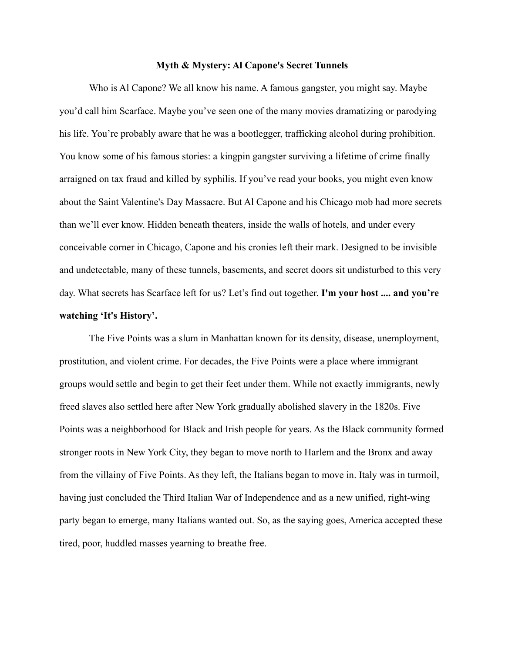## **Myth & Mystery: Al Capone's Secret Tunnels**

Who is Al Capone? We all know his name. A famous gangster, you might say. Maybe you'd call him Scarface. Maybe you've seen one of the many movies dramatizing or parodying his life. You're probably aware that he was a bootlegger, trafficking alcohol during prohibition. You know some of his famous stories: a kingpin gangster surviving a lifetime of crime finally arraigned on tax fraud and killed by syphilis. If you've read your books, you might even know about the Saint Valentine's Day Massacre. But Al Capone and his Chicago mob had more secrets than we'll ever know. Hidden beneath theaters, inside the walls of hotels, and under every conceivable corner in Chicago, Capone and his cronies left their mark. Designed to be invisible and undetectable, many of these tunnels, basements, and secret doors sit undisturbed to this very day. What secrets has Scarface left for us? Let's find out together. **I'm your host .... and you're watching 'It's History'.**

The Five Points was a slum in Manhattan known for its density, disease, unemployment, prostitution, and violent crime. For decades, the Five Points were a place where immigrant groups would settle and begin to get their feet under them. While not exactly immigrants, newly freed slaves also settled here after New York gradually abolished slavery in the 1820s. Five Points was a neighborhood for Black and Irish people for years. As the Black community formed stronger roots in New York City, they began to move north to Harlem and the Bronx and away from the villainy of Five Points. As they left, the Italians began to move in. Italy was in turmoil, having just concluded the Third Italian War of Independence and as a new unified, right-wing party began to emerge, many Italians wanted out. So, as the saying goes, America accepted these tired, poor, huddled masses yearning to breathe free.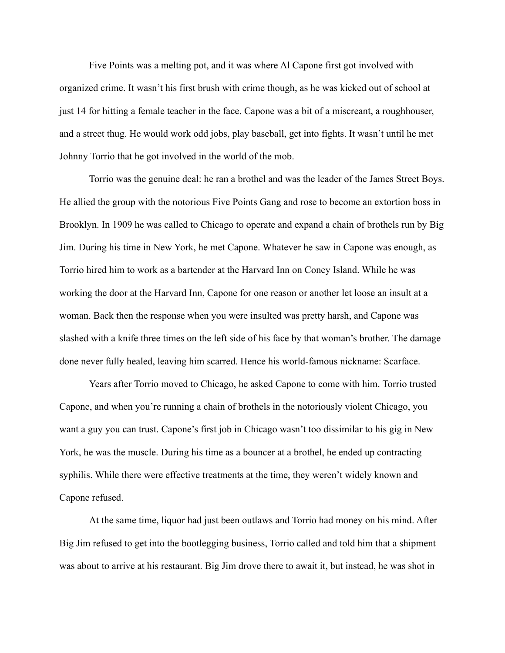Five Points was a melting pot, and it was where Al Capone first got involved with organized crime. It wasn't his first brush with crime though, as he was kicked out of school at just 14 for hitting a female teacher in the face. Capone was a bit of a miscreant, a roughhouser, and a street thug. He would work odd jobs, play baseball, get into fights. It wasn't until he met Johnny Torrio that he got involved in the world of the mob.

Torrio was the genuine deal: he ran a brothel and was the leader of the James Street Boys. He allied the group with the notorious Five Points Gang and rose to become an extortion boss in Brooklyn. In 1909 he was called to Chicago to operate and expand a chain of brothels run by Big Jim. During his time in New York, he met Capone. Whatever he saw in Capone was enough, as Torrio hired him to work as a bartender at the Harvard Inn on Coney Island. While he was working the door at the Harvard Inn, Capone for one reason or another let loose an insult at a woman. Back then the response when you were insulted was pretty harsh, and Capone was slashed with a knife three times on the left side of his face by that woman's brother. The damage done never fully healed, leaving him scarred. Hence his world-famous nickname: Scarface.

Years after Torrio moved to Chicago, he asked Capone to come with him. Torrio trusted Capone, and when you're running a chain of brothels in the notoriously violent Chicago, you want a guy you can trust. Capone's first job in Chicago wasn't too dissimilar to his gig in New York, he was the muscle. During his time as a bouncer at a brothel, he ended up contracting syphilis. While there were effective treatments at the time, they weren't widely known and Capone refused.

At the same time, liquor had just been outlaws and Torrio had money on his mind. After Big Jim refused to get into the bootlegging business, Torrio called and told him that a shipment was about to arrive at his restaurant. Big Jim drove there to await it, but instead, he was shot in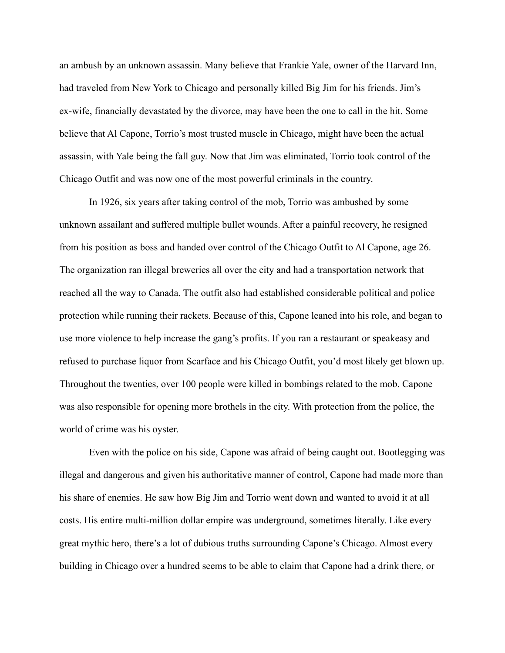an ambush by an unknown assassin. Many believe that Frankie Yale, owner of the Harvard Inn, had traveled from New York to Chicago and personally killed Big Jim for his friends. Jim's ex-wife, financially devastated by the divorce, may have been the one to call in the hit. Some believe that Al Capone, Torrio's most trusted muscle in Chicago, might have been the actual assassin, with Yale being the fall guy. Now that Jim was eliminated, Torrio took control of the Chicago Outfit and was now one of the most powerful criminals in the country.

In 1926, six years after taking control of the mob, Torrio was ambushed by some unknown assailant and suffered multiple bullet wounds. After a painful recovery, he resigned from his position as boss and handed over control of the Chicago Outfit to Al Capone, age 26. The organization ran illegal breweries all over the city and had a transportation network that reached all the way to Canada. The outfit also had established considerable political and police protection while running their rackets. Because of this, Capone leaned into his role, and began to use more violence to help increase the gang's profits. If you ran a restaurant or speakeasy and refused to purchase liquor from Scarface and his Chicago Outfit, you'd most likely get blown up. Throughout the twenties, over 100 people were killed in bombings related to the mob. Capone was also responsible for opening more brothels in the city. With protection from the police, the world of crime was his oyster.

Even with the police on his side, Capone was afraid of being caught out. Bootlegging was illegal and dangerous and given his authoritative manner of control, Capone had made more than his share of enemies. He saw how Big Jim and Torrio went down and wanted to avoid it at all costs. His entire multi-million dollar empire was underground, sometimes literally. Like every great mythic hero, there's a lot of dubious truths surrounding Capone's Chicago. Almost every building in Chicago over a hundred seems to be able to claim that Capone had a drink there, or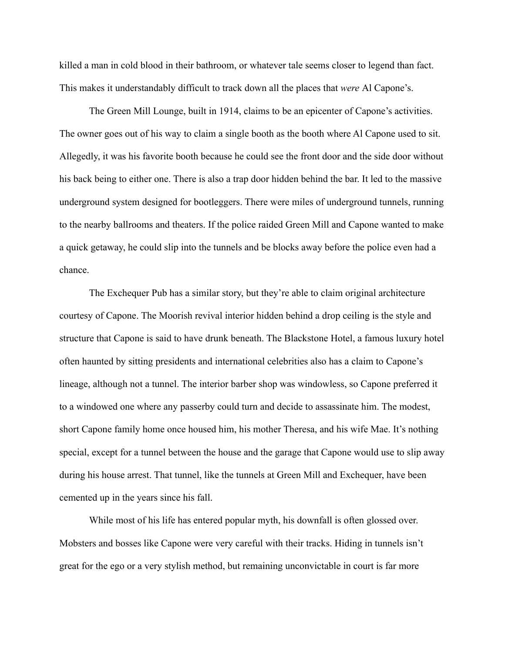killed a man in cold blood in their bathroom, or whatever tale seems closer to legend than fact. This makes it understandably difficult to track down all the places that *were* Al Capone's.

The Green Mill Lounge, built in 1914, claims to be an epicenter of Capone's activities. The owner goes out of his way to claim a single booth as the booth where Al Capone used to sit. Allegedly, it was his favorite booth because he could see the front door and the side door without his back being to either one. There is also a trap door hidden behind the bar. It led to the massive underground system designed for bootleggers. There were miles of underground tunnels, running to the nearby ballrooms and theaters. If the police raided Green Mill and Capone wanted to make a quick getaway, he could slip into the tunnels and be blocks away before the police even had a chance.

The Exchequer Pub has a similar story, but they're able to claim original architecture courtesy of Capone. The Moorish revival interior hidden behind a drop ceiling is the style and structure that Capone is said to have drunk beneath. The Blackstone Hotel, a famous luxury hotel often haunted by sitting presidents and international celebrities also has a claim to Capone's lineage, although not a tunnel. The interior barber shop was windowless, so Capone preferred it to a windowed one where any passerby could turn and decide to assassinate him. The modest, short Capone family home once housed him, his mother Theresa, and his wife Mae. It's nothing special, except for a tunnel between the house and the garage that Capone would use to slip away during his house arrest. That tunnel, like the tunnels at Green Mill and Exchequer, have been cemented up in the years since his fall.

While most of his life has entered popular myth, his downfall is often glossed over. Mobsters and bosses like Capone were very careful with their tracks. Hiding in tunnels isn't great for the ego or a very stylish method, but remaining unconvictable in court is far more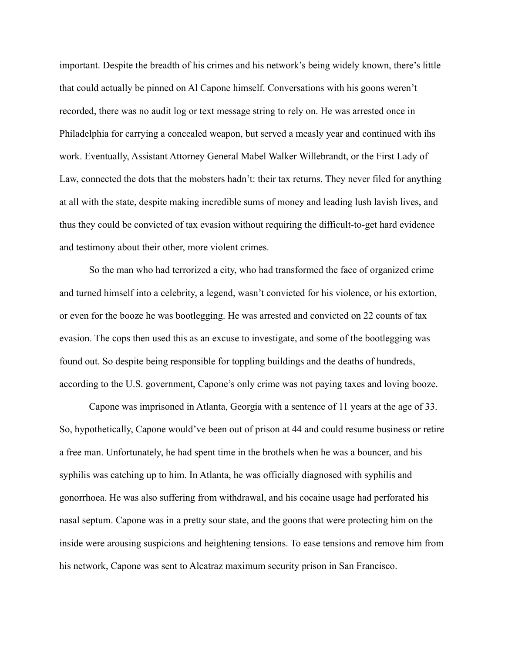important. Despite the breadth of his crimes and his network's being widely known, there's little that could actually be pinned on Al Capone himself. Conversations with his goons weren't recorded, there was no audit log or text message string to rely on. He was arrested once in Philadelphia for carrying a concealed weapon, but served a measly year and continued with ihs work. Eventually, Assistant Attorney General Mabel Walker Willebrandt, or the First Lady of Law, connected the dots that the mobsters hadn't: their tax returns. They never filed for anything at all with the state, despite making incredible sums of money and leading lush lavish lives, and thus they could be convicted of tax evasion without requiring the difficult-to-get hard evidence and testimony about their other, more violent crimes.

So the man who had terrorized a city, who had transformed the face of organized crime and turned himself into a celebrity, a legend, wasn't convicted for his violence, or his extortion, or even for the booze he was bootlegging. He was arrested and convicted on 22 counts of tax evasion. The cops then used this as an excuse to investigate, and some of the bootlegging was found out. So despite being responsible for toppling buildings and the deaths of hundreds, according to the U.S. government, Capone's only crime was not paying taxes and loving booze.

Capone was imprisoned in Atlanta, Georgia with a sentence of 11 years at the age of 33. So, hypothetically, Capone would've been out of prison at 44 and could resume business or retire a free man. Unfortunately, he had spent time in the brothels when he was a bouncer, and his syphilis was catching up to him. In Atlanta, he was officially diagnosed with syphilis and gonorrhoea. He was also suffering from withdrawal, and his cocaine usage had perforated his nasal septum. Capone was in a pretty sour state, and the goons that were protecting him on the inside were arousing suspicions and heightening tensions. To ease tensions and remove him from his network, Capone was sent to Alcatraz maximum security prison in San Francisco.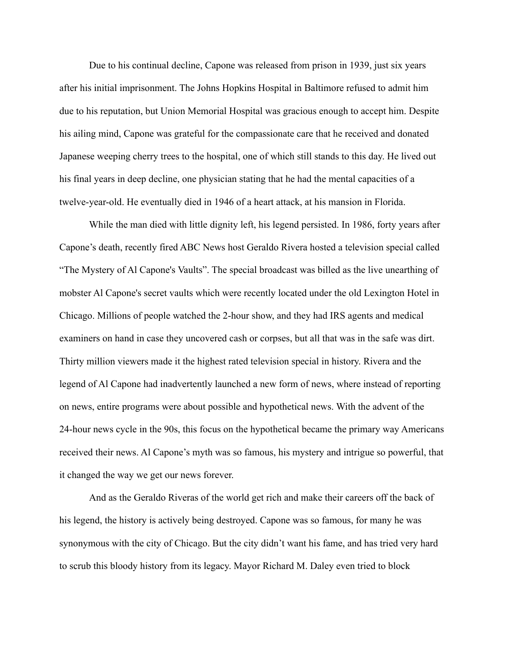Due to his continual decline, Capone was released from prison in 1939, just six years after his initial imprisonment. The Johns Hopkins Hospital in Baltimore refused to admit him due to his reputation, but Union Memorial Hospital was gracious enough to accept him. Despite his ailing mind, Capone was grateful for the compassionate care that he received and donated Japanese weeping cherry trees to the hospital, one of which still stands to this day. He lived out his final years in deep decline, one physician stating that he had the mental capacities of a twelve-year-old. He eventually died in 1946 of a heart attack, at his mansion in Florida.

While the man died with little dignity left, his legend persisted. In 1986, forty years after Capone's death, recently fired ABC News host Geraldo Rivera hosted a television special called "The Mystery of Al Capone's Vaults". The special broadcast was billed as the live unearthing of mobster Al Capone's secret vaults which were recently located under the old Lexington Hotel in Chicago. Millions of people watched the 2-hour show, and they had IRS agents and medical examiners on hand in case they uncovered cash or corpses, but all that was in the safe was dirt. Thirty million viewers made it the highest rated television special in history. Rivera and the legend of Al Capone had inadvertently launched a new form of news, where instead of reporting on news, entire programs were about possible and hypothetical news. With the advent of the 24-hour news cycle in the 90s, this focus on the hypothetical became the primary way Americans received their news. Al Capone's myth was so famous, his mystery and intrigue so powerful, that it changed the way we get our news forever.

And as the Geraldo Riveras of the world get rich and make their careers off the back of his legend, the history is actively being destroyed. Capone was so famous, for many he was synonymous with the city of Chicago. But the city didn't want his fame, and has tried very hard to scrub this bloody history from its legacy. Mayor Richard M. Daley even tried to block